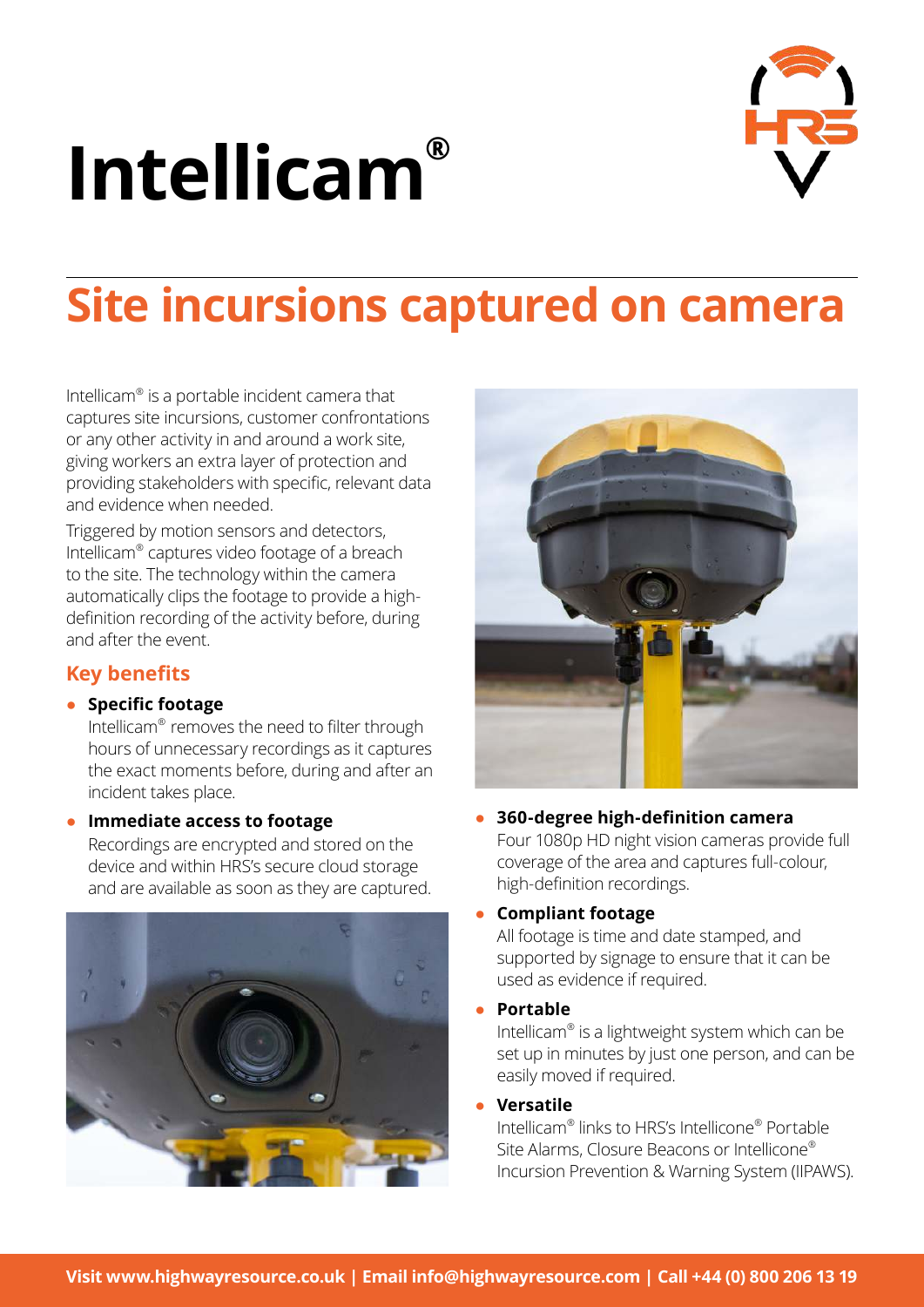# **Intellicam®**



# **Site incursions captured on camera**

Intellicam® is a portable incident camera that captures site incursions, customer confrontations or any other activity in and around a work site, giving workers an extra layer of protection and providing stakeholders with specific, relevant data and evidence when needed.

Triggered by motion sensors and detectors, Intellicam® captures video footage of a breach to the site. The technology within the camera automatically clips the footage to provide a highdefinition recording of the activity before, during and after the event.

# **Key benefits**

#### ● **Specific footage**

Intellicam® removes the need to filter through hours of unnecessary recordings as it captures the exact moments before, during and after an incident takes place.

#### **Immediate access to footage**

Recordings are encrypted and stored on the device and within HRS's secure cloud storage and are available as soon as they are captured.





#### ● **360-degree high-definition camera** Four 1080p HD night vision cameras provide full coverage of the area and captures full-colour,

#### ● **Compliant footage**

high-definition recordings.

All footage is time and date stamped, and supported by signage to ensure that it can be used as evidence if required.

● **Portable**

Intellicam® is a lightweight system which can be set up in minutes by just one person, and can be easily moved if required.

● **Versatile**

Intellicam® links to HRS's Intellicone® Portable Site Alarms, Closure Beacons or Intellicone® Incursion Prevention & Warning System (IIPAWS).